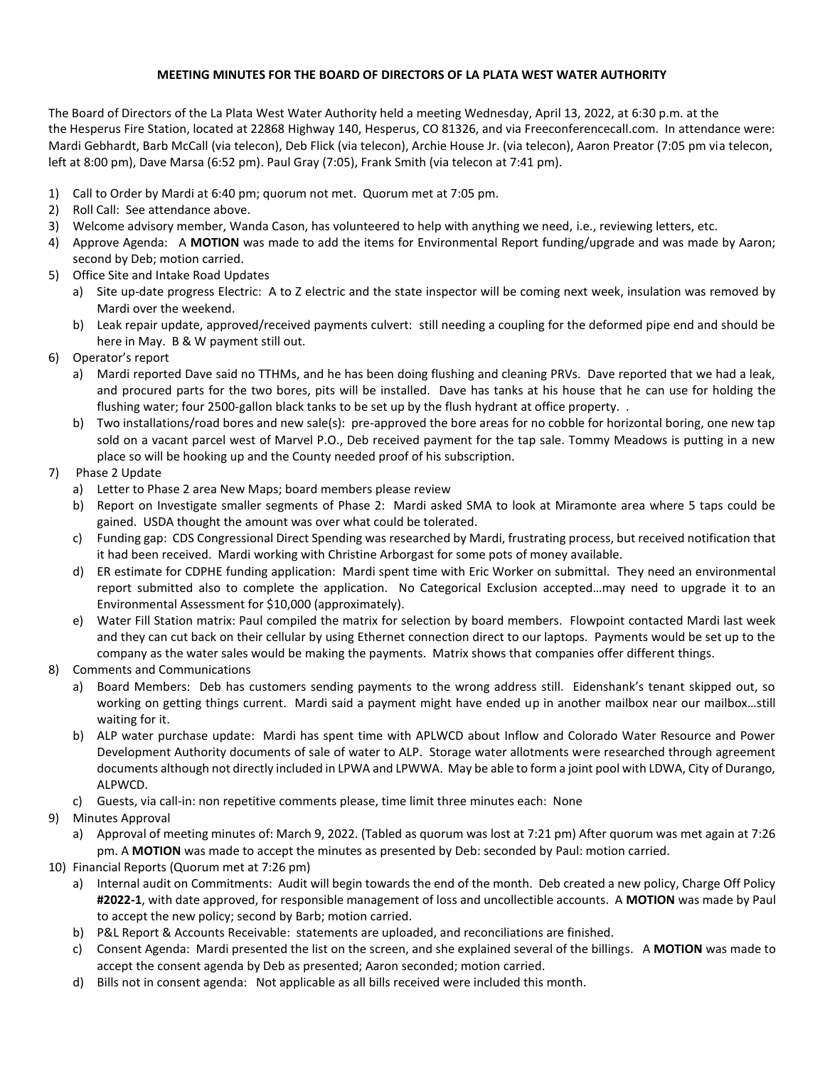## **MEETING MINUTES FOR THE BOARD OF DIRECTORS OF LA PLATA WEST WATER AUTHORITY**

The Board of Directors of the La Plata West Water Authority held a meeting Wednesday, April 13, 2022, at 6:30 p.m. at the the Hesperus Fire Station, located at 22868 Highway 140, Hesperus, CO 81326, and via Freeconferencecall.com. In attendance were: Mardi Gebhardt, Barb McCall (via telecon), Deb Flick (via telecon), Archie House Jr. (via telecon), Aaron Preator (7:05 pm via telecon, left at 8:00 pm), Dave Marsa (6:52 pm). Paul Gray (7:05), Frank Smith (via telecon at 7:41 pm).

- 1) Call to Order by Mardi at 6:40 pm; quorum not met. Quorum met at 7:05 pm.
- 2) Roll Call: See attendance above.
- 3) Welcome advisory member, Wanda Cason, has volunteered to help with anything we need, i.e., reviewing letters, etc.
- 4) Approve Agenda: A **MOTION** was made to add the items for Environmental Report funding/upgrade and was made by Aaron; second by Deb; motion carried.
- 5) Office Site and Intake Road Updates
	- a) Site up-date progress Electric: A to Z electric and the state inspector will be coming next week, insulation was removed by Mardi over the weekend.
	- b) Leak repair update, approved/received payments culvert: still needing a coupling for the deformed pipe end and should be here in May. B & W payment still out.
- 6) Operator's report
	- a) Mardi reported Dave said no TTHMs, and he has been doing flushing and cleaning PRVs. Dave reported that we had a leak, and procured parts for the two bores, pits will be installed. Dave has tanks at his house that he can use for holding the flushing water; four 2500-gallon black tanks to be set up by the flush hydrant at office property. .
	- b) Two installations/road bores and new sale(s): pre-approved the bore areas for no cobble for horizontal boring, one new tap sold on a vacant parcel west of Marvel P.O., Deb received payment for the tap sale. Tommy Meadows is putting in a new place so will be hooking up and the County needed proof of his subscription.
- 7) Phase 2 Update
	- a) Letter to Phase 2 area New Maps; board members please review
	- b) Report on Investigate smaller segments of Phase 2: Mardi asked SMA to look at Miramonte area where 5 taps could be gained. USDA thought the amount was over what could be tolerated.
	- c) Funding gap: CDS Congressional Direct Spending was researched by Mardi, frustrating process, but received notification that it had been received. Mardi working with Christine Arborgast for some pots of money available.
	- d) ER estimate for CDPHE funding application: Mardi spent time with Eric Worker on submittal. They need an environmental report submitted also to complete the application. No Categorical Exclusion accepted…may need to upgrade it to an Environmental Assessment for \$10,000 (approximately).
	- e) Water Fill Station matrix: Paul compiled the matrix for selection by board members. Flowpoint contacted Mardi last week and they can cut back on their cellular by using Ethernet connection direct to our laptops. Payments would be set up to the company as the water sales would be making the payments. Matrix shows that companies offer different things.
- 8) Comments and Communications
	- a) Board Members: Deb has customers sending payments to the wrong address still. Eidenshank's tenant skipped out, so working on getting things current. Mardi said a payment might have ended up in another mailbox near our mailbox…still waiting for it.
	- b) ALP water purchase update: Mardi has spent time with APLWCD about Inflow and Colorado Water Resource and Power Development Authority documents of sale of water to ALP. Storage water allotments were researched through agreement documents although not directly included in LPWA and LPWWA. May be able to form a joint pool with LDWA, City of Durango, ALPWCD.
	- c) Guests, via call-in: non repetitive comments please, time limit three minutes each: None
- 9) Minutes Approval
	- a) Approval of meeting minutes of: March 9, 2022. (Tabled as quorum was lost at 7:21 pm) After quorum was met again at 7:26 pm. A **MOTION** was made to accept the minutes as presented by Deb: seconded by Paul: motion carried.
- 10) Financial Reports (Quorum met at 7:26 pm)
	- a) Internal audit on Commitments: Audit will begin towards the end of the month. Deb created a new policy, Charge Off Policy **#2022-1**, with date approved, for responsible management of loss and uncollectible accounts. A **MOTION** was made by Paul to accept the new policy; second by Barb; motion carried.
	- b) P&L Report & Accounts Receivable: statements are uploaded, and reconciliations are finished.
	- c) Consent Agenda: Mardi presented the list on the screen, and she explained several of the billings. A **MOTION** was made to accept the consent agenda by Deb as presented; Aaron seconded; motion carried.
	- d) Bills not in consent agenda: Not applicable as all bills received were included this month.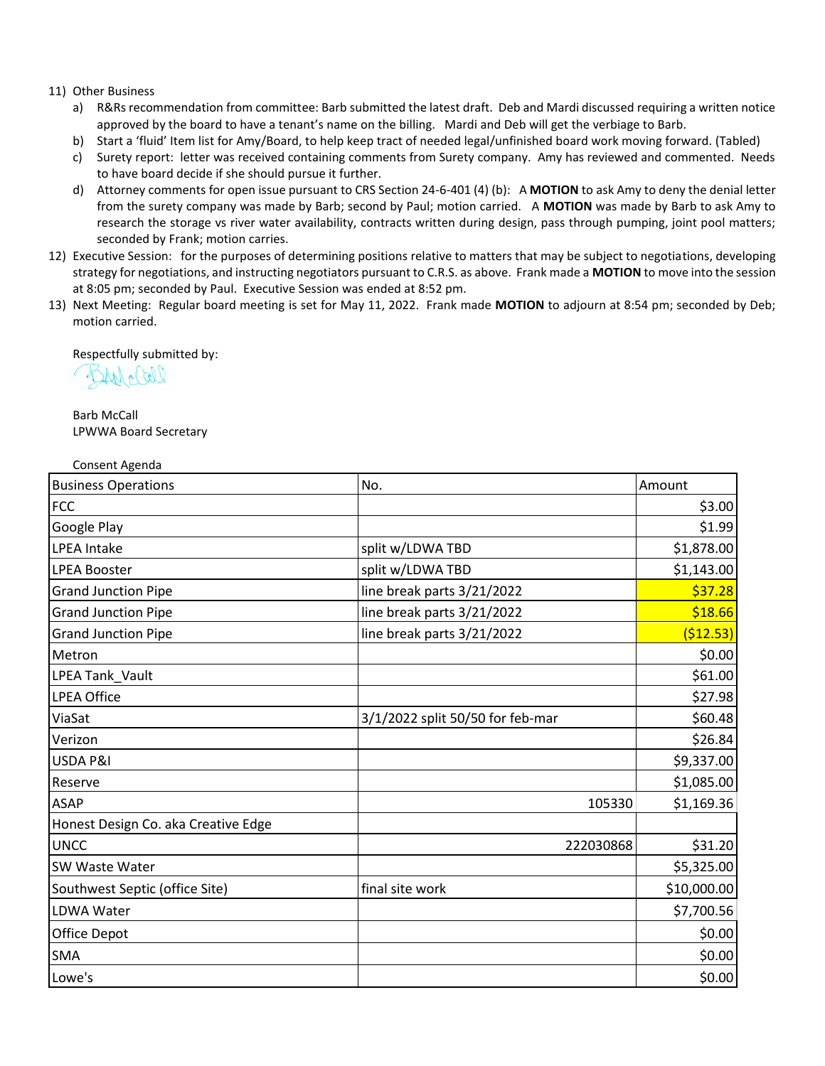## 11) Other Business

- a) R&Rs recommendation from committee: Barb submitted the latest draft. Deb and Mardi discussed requiring a written notice approved by the board to have a tenant's name on the billing. Mardi and Deb will get the verbiage to Barb.
- b) Start a 'fluid' Item list for Amy/Board, to help keep tract of needed legal/unfinished board work moving forward. (Tabled)
- c) Surety report: letter was received containing comments from Surety company. Amy has reviewed and commented. Needs to have board decide if she should pursue it further.
- d) Attorney comments for open issue pursuant to CRS Section 24-6-401 (4) (b): A **MOTION** to ask Amy to deny the denial letter from the surety company was made by Barb; second by Paul; motion carried. A **MOTION** was made by Barb to ask Amy to research the storage vs river water availability, contracts written during design, pass through pumping, joint pool matters; seconded by Frank; motion carries.
- 12) Executive Session: for the purposes of determining positions relative to matters that may be subject to negotiations, developing strategy for negotiations, and instructing negotiators pursuant to C.R.S. as above. Frank made a **MOTION** to move into the session at 8:05 pm; seconded by Paul. Executive Session was ended at 8:52 pm.
- 13) Next Meeting: Regular board meeting is set for May 11, 2022. Frank made **MOTION** to adjourn at 8:54 pm; seconded by Deb; motion carried.

Respectfully submitted by:

 $241/1011$ 

Barb McCall LPWWA Board Secretary

Consent Agenda

| <b>Business Operations</b>          | No.                              | Amount      |
|-------------------------------------|----------------------------------|-------------|
| <b>FCC</b>                          |                                  | \$3.00      |
| Google Play                         |                                  | \$1.99      |
| <b>LPEA Intake</b>                  | split w/LDWA TBD                 | \$1,878.00  |
| <b>LPEA Booster</b>                 | split w/LDWA TBD                 | \$1,143.00  |
| <b>Grand Junction Pipe</b>          | line break parts 3/21/2022       | \$37.28     |
| <b>Grand Junction Pipe</b>          | line break parts 3/21/2022       | \$18.66     |
| <b>Grand Junction Pipe</b>          | line break parts 3/21/2022       | ( \$12.53)  |
| Metron                              |                                  | \$0.00      |
| LPEA Tank_Vault                     |                                  | \$61.00     |
| <b>LPEA Office</b>                  |                                  | \$27.98     |
| ViaSat                              | 3/1/2022 split 50/50 for feb-mar | \$60.48     |
| Verizon                             |                                  | \$26.84     |
| USDA P&I                            |                                  | \$9,337.00  |
| Reserve                             |                                  | \$1,085.00  |
| <b>ASAP</b>                         | 105330                           | \$1,169.36  |
| Honest Design Co. aka Creative Edge |                                  |             |
| <b>UNCC</b>                         | 222030868                        | \$31.20     |
| SW Waste Water                      |                                  | \$5,325.00  |
| Southwest Septic (office Site)      | final site work                  | \$10,000.00 |
| <b>LDWA Water</b>                   |                                  | \$7,700.56  |
| Office Depot                        |                                  | \$0.00      |
| <b>SMA</b>                          |                                  | \$0.00      |
| Lowe's                              |                                  | \$0.00      |